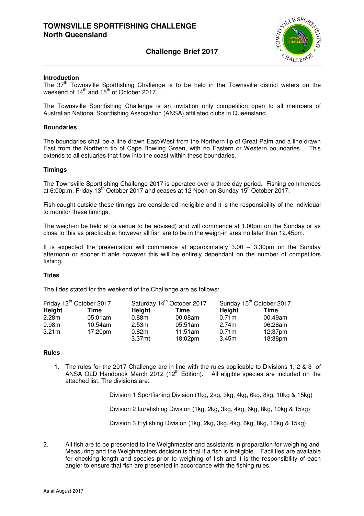### **Challenge Brief 2017**



#### **Introduction**

The  $37<sup>th</sup>$  Townsville Sportfishing Challenge is to be held in the Townsville district waters on the weekend of  $14<sup>th</sup>$  and  $15<sup>th</sup>$  of October 2017.

The Townsville Sportfishing Challenge is an invitation only competition open to all members of Australian National Sportfishing Association (ANSA) affiliated clubs in Queensland.

#### **Boundaries**

The boundaries shall be a line drawn East/West from the Northern tip of Great Palm and a line drawn East from the Northern tip of Cape Bowling Green, with no Eastern or Western boundaries. This extends to all estuaries that flow into the coast within these boundaries.

#### **Timings**

The Townsville Sportfishing Challenge 2017 is operated over a three day period. Fishing commences at 6:00p.m. Friday 13<sup>th</sup> October 2017 and ceases at 12 Noon on Sunday 15<sup>h</sup> October 2017.

Fish caught outside these timings are considered ineligible and it is the responsibility of the individual to monitor these timings.

The weigh-in be held at (a venue to be advised) and will commence at 1.00pm on the Sunday or as close to this as practicable, however all fish are to be in the weigh-in area no later than 12.45pm.

It is expected the presentation will commence at approximately  $3.00 - 3.30$  pm on the Sunday afternoon or sooner if able however this will be entirely dependant on the number of competitors fishing.

#### **Tides**

The tides stated for the weekend of the Challenge are as follows:

| Friday 13 <sup>th</sup> October 2017 |         |                   | Saturday 14 <sup>th</sup> October 2017 | Sunday 15 <sup>th</sup> October 2017 |         |  |
|--------------------------------------|---------|-------------------|----------------------------------------|--------------------------------------|---------|--|
| Height                               | Time    | Height            | Time                                   | Height                               | Time    |  |
| 2.28m                                | 05:01am | 0.88m             | 00.08am                                | 0.71m                                | 00.49am |  |
| 0.98m                                | 10.54am | 2.53 <sub>m</sub> | 05:51am                                | 2.74m                                | 06:28am |  |
| 3.21 <sub>m</sub>                    | 17:20pm | 0.82 <sub>m</sub> | 11:51am                                | 0.71 <sub>m</sub>                    | 12:37pm |  |
|                                      |         | 3.37mt            | 18:02pm                                | 3.45m                                | 18:38pm |  |

#### **Rules**

1. The rules for the 2017 Challenge are in line with the rules applicable to Divisions 1, 2 & 3 of ANSA QLD Handbook March 2012 (12<sup>th</sup> Edition). All eligible species are included on the attached list. The divisions are:

Division 1 Sportfishing Division (1kg, 2kg, 3kg, 4kg, 6kg, 8kg, 10kg & 15kg)

Division 2 Lurefishing Division (1kg, 2kg, 3kg, 4kg, 6kg, 8kg, 10kg & 15kg)

Division 3 Flyfishing Division (1kg, 2kg, 3kg, 4kg, 6kg, 8kg, 10kg & 15kg)

2. All fish are to be presented to the Weighmaster and assistants in preparation for weighing and Measuring and the Weighmasters decision is final if a fish is ineligible. Facilities are available for checking length and species prior to weighing of fish and it is the responsibility of each angler to ensure that fish are presented in accordance with the fishing rules.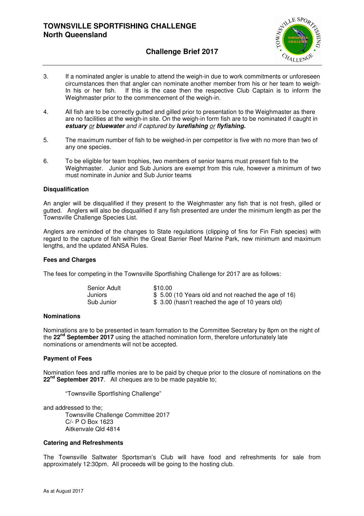

### **Challenge Brief 2017**

- 3. If a nominated angler is unable to attend the weigh-in due to work commitments or unforeseen circumstances then that angler can nominate another member from his or her team to weigh-In his or her fish. If this is the case then the respective Club Captain is to inform the Weighmaster prior to the commencement of the weigh-in.
- 4. All fish are to be correctly gutted and gilled prior to presentation to the Weighmaster as there are no facilities at the weigh-in site. On the weigh-in form fish are to be nominated if caught in **estuary** or **bluewater** and if captured by **lurefishing** or **flyfishing.**
- 5. The maximum number of fish to be weighed-in per competitor is five with no more than two of any one species.
- 6. To be eligible for team trophies, two members of senior teams must present fish to the Weighmaster. Junior and Sub Juniors are exempt from this rule, however a minimum of two must nominate in Junior and Sub Junior teams

#### **Disqualification**

An angler will be disqualified if they present to the Weighmaster any fish that is not fresh, gilled or gutted. Anglers will also be disqualified if any fish presented are under the minimum length as per the Townsville Challenge Species List.

Anglers are reminded of the changes to State regulations (clipping of fins for Fin Fish species) with regard to the capture of fish within the Great Barrier Reef Marine Park, new minimum and maximum lengths, and the updated ANSA Rules.

#### **Fees and Charges**

The fees for competing in the Townsville Sportfishing Challenge for 2017 are as follows:

| Senior Adult | \$10.00                                             |
|--------------|-----------------------------------------------------|
| Juniors      | \$5.00 (10 Years old and not reached the age of 16) |
| Sub Junior   | \$ 3.00 (hasn't reached the age of 10 years old)    |

#### **Nominations**

Nominations are to be presented in team formation to the Committee Secretary by 8pm on the night of the **22nd September 2017** using the attached nomination form, therefore unfortunately late nominations or amendments will not be accepted.

#### **Payment of Fees**

Nomination fees and raffle monies are to be paid by cheque prior to the closure of nominations on the **22nd September 2017**. All cheques are to be made payable to;

"Townsville Sportfishing Challenge"

and addressed to the; Townsville Challenge Committee 2017 C/- P O Box 1623 Aitkenvale Qld 4814

#### **Catering and Refreshments**

The Townsville Saltwater Sportsman's Club will have food and refreshments for sale from approximately 12:30pm. All proceeds will be going to the hosting club.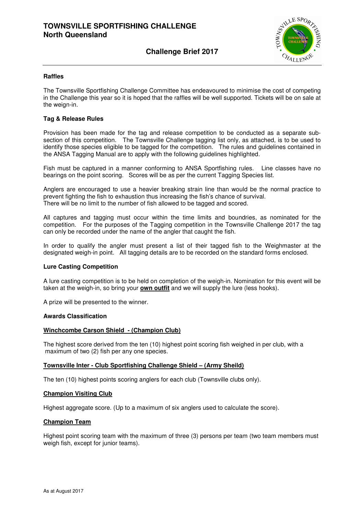### **Challenge Brief 2017**



#### **Raffles**

The Townsville Sportfishing Challenge Committee has endeavoured to minimise the cost of competing in the Challenge this year so it is hoped that the raffles will be well supported. Tickets will be on sale at the weign-in.

#### **Tag & Release Rules**

Provision has been made for the tag and release competition to be conducted as a separate subsection of this competition. The Townsville Challenge tagging list only, as attached, is to be used to identify those species eligible to be tagged for the competition. The rules and guidelines contained in the ANSA Tagging Manual are to apply with the following guidelines highlighted.

Fish must be captured in a manner conforming to ANSA Sportfishing rules. Line classes have no bearings on the point scoring. Scores will be as per the current Tagging Species list.

Anglers are encouraged to use a heavier breaking strain line than would be the normal practice to prevent fighting the fish to exhaustion thus increasing the fish's chance of survival. There will be no limit to the number of fish allowed to be tagged and scored.

All captures and tagging must occur within the time limits and boundries, as nominated for the competition. For the purposes of the Tagging competition in the Townsville Challenge 2017 the tag can only be recorded under the name of the angler that caught the fish.

In order to qualify the angler must present a list of their tagged fish to the Weighmaster at the designated weigh-in point. All tagging details are to be recorded on the standard forms enclosed.

#### **Lure Casting Competition**

A lure casting competition is to be held on completion of the weigh-in. Nomination for this event will be taken at the weigh-in, so bring your **own outfit** and we will supply the lure (less hooks).

A prize will be presented to the winner.

#### **Awards Classification**

#### **Winchcombe Carson Shield - (Champion Club)**

The highest score derived from the ten (10) highest point scoring fish weighed in per club, with a maximum of two (2) fish per any one species.

#### **Townsville Inter - Club Sportfishing Challenge Shield – (Army Sheild)**

The ten (10) highest points scoring anglers for each club (Townsville clubs only).

#### **Champion Visiting Club**

Highest aggregate score. (Up to a maximum of six anglers used to calculate the score).

#### **Champion Team**

Highest point scoring team with the maximum of three (3) persons per team (two team members must weigh fish, except for junior teams).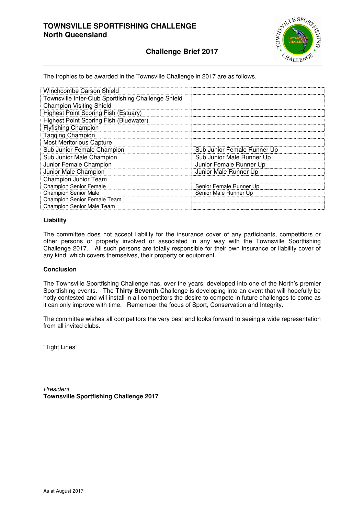

### **Challenge Brief 2017**

The trophies to be awarded in the Townsville Challenge in 2017 are as follows.

| Winchcombe Carson Shield                            |                             |
|-----------------------------------------------------|-----------------------------|
| Townsville Inter-Club Sportfishing Challenge Shield |                             |
| <b>Champion Visiting Shield</b>                     |                             |
| <b>Highest Point Scoring Fish (Estuary)</b>         |                             |
| Highest Point Scoring Fish (Bluewater)              |                             |
| <b>Flyfishing Champion</b>                          |                             |
| <b>Tagging Champion</b>                             |                             |
| <b>Most Meritorious Capture</b>                     |                             |
| Sub Junior Female Champion                          | Sub Junior Female Runner Up |
| Sub Junior Male Champion                            | Sub Junior Male Runner Up   |
| Junior Female Champion                              | Junior Female Runner Up     |
| Junior Male Champion                                | Junior Male Runner Up       |
| <b>Champion Junior Team</b>                         |                             |
| <b>Champion Senior Female</b>                       | Senior Female Runner Up     |
| <b>Champion Senior Male</b>                         | Senior Male Runner Up       |
| Champion Senior Female Team                         |                             |
| <b>Champion Senior Male Team</b>                    |                             |

#### **Liability**

The committee does not accept liability for the insurance cover of any participants, competitiors or other persons or property involved or associated in any way with the Townsville Sportfishing Challenge 2017. All such persons are totally responsible for their own insurance or liability cover of any kind, which covers themselves, their property or equipment.

#### **Conclusion**

The Townsville Sportfishing Challenge has, over the years, developed into one of the North's premier Sportfishing events. The **Thirty Seventh** Challenge is developing into an event that will hopefully be hotly contested and will install in all competitors the desire to compete in future challenges to come as it can only improve with time. Remember the focus of Sport, Conservation and Integrity.

The committee wishes all competitors the very best and looks forward to seeing a wide representation from all invited clubs.

"Tight Lines"

President **Townsville Sportfishing Challenge 2017**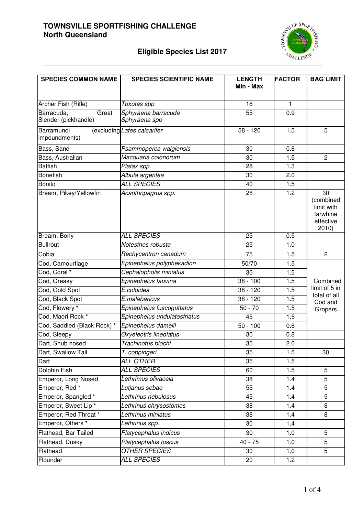

# **Eligible Species List 2017**

| <b>SPECIES COMMON NAME</b>                  | <b>SPECIES SCIENTIFIC NAME</b>       | <b>LENGTH</b><br>Min - Max | <b>FACTOR</b> | <b>BAG LIMIT</b>                                                |
|---------------------------------------------|--------------------------------------|----------------------------|---------------|-----------------------------------------------------------------|
| Archer Fish (Rifle)                         | Toxotes spp                          | 18                         | 1             |                                                                 |
| Barracuda,<br>Great<br>Slender (pickhandle) | Sphyraena barracuda<br>Sphyraena spp | 55                         | 0.9           |                                                                 |
| Barramundi<br>impoundments)                 | (excluding Lates calcarifer          | $58 - 120$                 | 1.5           | 5                                                               |
| Bass, Sand                                  | Psammoperca waigiensis               | 30                         | 0.8           |                                                                 |
| Bass, Australian                            | Macquaria colonorum                  | 30                         | 1.5           | $\overline{2}$                                                  |
| <b>Batfish</b>                              | Platax spp                           | 28                         | 1.3           |                                                                 |
| <b>Bonefish</b>                             | Albula argentea                      | 30                         | 2.0           |                                                                 |
| <b>Bonito</b>                               | <b>ALL SPECIES</b>                   | 40                         | 1.5           |                                                                 |
| Bream, Pikey/Yellowfin                      | Acanthopagrus spp.                   | 28                         | 1.2           | 30<br>(combined<br>limit with<br>tarwhine<br>effective<br>2010) |
| Bream, Bony                                 | <b>ALL SPECIES</b>                   | 25                         | 0.5           |                                                                 |
| <b>Bullrout</b>                             | Notesthes robusta                    | 25                         | 1.0           |                                                                 |
| Cobia                                       | Rechycentron canadum                 | 75                         | 1.5           | $\overline{2}$                                                  |
| Cod, Camourflage                            | Epinephelus polyphekadion            | 50/70                      | 1.5           |                                                                 |
| Cod, Coral *                                | Cephalopholis miniatus               | 35                         | 1.5           |                                                                 |
| Cod, Greasy                                 | Epinephelus tauvina                  | $38 - 100$                 | 1.5           | Combined                                                        |
| Cod, Gold Spot                              | E.coloides                           | $38 - 120$                 | 1.5           | limit of 5 in                                                   |
| Cod, Black Spot                             | E.malabaricus                        | $38 - 120$                 | 1.5           | total of all<br>Cod and                                         |
| Cod, Flowery *                              | Epinephelus fuscoguttatus            | $50 - 70$                  | 1.5           | Gropers                                                         |
| Cod, Maori Rock *                           | Epinephelus undulatostriatus         | 45                         | 1.5           |                                                                 |
| Cod, Saddled (Black Rock) *                 | Epinephelus damelli                  | $50 - 100$                 | 0.8           |                                                                 |
| Cod, Sleepy                                 | Oxyeleotris lineolatus               | 30                         | 0.8           |                                                                 |
| Dart, Snub nosed                            | Trachinotus blochi                   | 35                         | 2.0           |                                                                 |
| Dart, Swallow Tail                          | T. coppingeri                        | 35                         | 1.5           | 30                                                              |
| Dart                                        | <b>ALL OTHER</b>                     | 35                         | 1.5           |                                                                 |
| Dolphin Fish                                | <b>ALL SPECIES</b>                   | 60                         | 1.5           | $\overline{5}$                                                  |
| Emperor, Long Nosed                         | Lethrimus olivaceia                  | 38                         | 1.4           | 5                                                               |
| Emperor, Red <sup>*</sup>                   | Lutjanus sebae                       | 55                         | 1.4           | 5                                                               |
| Emperor, Spangled *                         | Lethrinus nebulosus                  | 45                         | 1.4           | 5                                                               |
| Emperor, Sweet Lip*                         | Lethrinus chrysostomos               | 38                         | 1.4           | 8                                                               |
| Emperor, Red Throat *                       | Lethrinus miniatus                   | 38                         | 1.4           | 8                                                               |
| Emperor, Others <sup>*</sup>                | Lethrinus spp.                       | 30                         | 1.4           |                                                                 |
| Flathead, Bar Tailed                        | Platycephalus indicus                | 30                         | 1.0           | 5                                                               |
| Flathead, Dusky                             | Platycephalus fuscus                 | $40 - 75$                  | 1.0           | 5                                                               |
| Flathead                                    | <b>OTHER SPECIES</b>                 | 30                         | 1.0           | $\overline{5}$                                                  |
| Flounder                                    | <b>ALL SPECIES</b>                   | 20                         | 1.2           |                                                                 |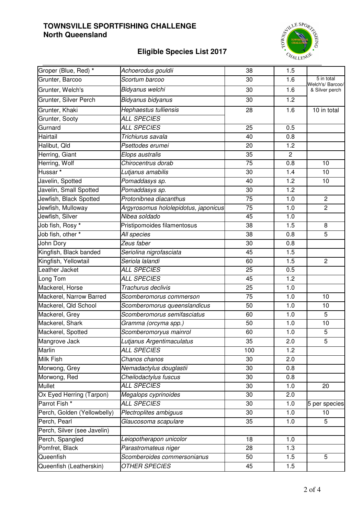# **Eligible Species List 2017**



| Groper (Blue, Red) *        | Achoerodus gouldii                   | 38              | 1.5            |                                |
|-----------------------------|--------------------------------------|-----------------|----------------|--------------------------------|
| Grunter, Barcoo             | Scortum barcoo                       | 30              | 1.6            | 5 in total<br>Welch's/ Barcoo/ |
| Grunter, Welch's            | Bidyanus welchi                      | 30              | 1.6            | & Silver perch                 |
| Grunter, Silver Perch       | Bidyanus bidyanus                    | 30              | 1.2            |                                |
| Grunter, Khaki              | Hephaestus tulliensis                | 28              | 1.6            | 10 in total                    |
| Grunter, Sooty              | <b>ALL SPECIES</b>                   |                 |                |                                |
| Gurnard                     | <b>ALL SPECIES</b>                   | 25              | 0.5            |                                |
| Hairtail                    | Trichiurus savala                    | 40              | 0.8            |                                |
| Halibut, Old                | Psettodes erumei                     | 20              | 1.2            |                                |
| Herring, Giant              | Elops australis                      | 35              | $\overline{c}$ |                                |
| Herring, Wolf               | Chirocentrus dorab                   | $\overline{75}$ | 0.8            | 10                             |
| Hussar <sup>*</sup>         | Lutjanus amabilis                    | 30              | 1.4            | 10                             |
| Javelin, Spotted            | Pomaddasys sp.                       | 40              | 1.2            | 10                             |
| Javelin, Small Spotted      | Pomaddasys sp.                       | 30              | 1.2            |                                |
| Jewfish, Black Spotted      | Protonibnea diacanthus               | 75              | 1.0            | $\overline{2}$                 |
| Jewfish, Mulloway           | Argyrosomus hololepidotus, japonicus | 75              | 1.0            | $\overline{2}$                 |
| Jewfish, Silver             | Nibea soldado                        | 45              | 1.0            |                                |
| Job fish, Rosy *            | Pristipomoides filamentosus          | 38              | 1.5            | 8                              |
| Job fish, other *           | All species                          | 38              | 0.8            | 5                              |
| John Dory                   | Zeus faber                           | 30              | 0.8            |                                |
| Kingfish, Black banded      | Seriolina nigrofasciata              | 45              | 1.5            |                                |
| Kingfish, Yellowtail        | Seriola lalandi                      | 60              | 1.5            | $\overline{2}$                 |
| Leather Jacket              | <b>ALL SPECIES</b>                   | $\overline{25}$ | 0.5            |                                |
| Long Tom                    | <b>ALL SPECIES</b>                   | 45              | 1.2            |                                |
| Mackerel, Horse             | Trachurus declivis                   | 25              | 1.0            |                                |
| Mackerel, Narrow Barred     | Scomberomorus commerson              | 75              | 1.0            | 10                             |
| Mackerel, Qld School        | Scomberomorus queenslandicus         | 50              | 1.0            | 10                             |
| Mackerel, Grey              | Scomberomorus semifasciatus          | 60              | 1.0            | 5                              |
| Mackerel, Shark             | Gramma (orcyma spp.)                 | 50              | 1.0            | 10                             |
| Mackerel, Spotted           | Scomberomoryus mainrol               | 60              | 1.0            | 5                              |
| Mangrove Jack               | Lutjanus Argentimaculatus            | 35              | 2.0            | 5                              |
| <b>Marlin</b>               | <b>ALL SPECIES</b>                   | 100             | 1.2            |                                |
| Milk Fish                   | Chanos chanos                        | 30              | 2.0            |                                |
| Morwong, Grey               | Nemadactylus douglastii              | 30              | 0.8            |                                |
| Morwong, Red                | Cheilodactylus fuscus                | 30              | 0.8            |                                |
| <b>Mullet</b>               | <b>ALL SPECIES</b>                   | 30              | 1.0            | 20                             |
| Ox Eyed Herring (Tarpon)    | Megalops cyprinoides                 | 30              | 2.0            |                                |
| Parrot Fish *               | <b>ALL SPECIES</b>                   | 30              | 1.0            | 5 per species                  |
| Perch, Golden (Yellowbelly) | Plectroplites ambiguus               | 30              | 1.0            | 10                             |
| Perch, Pearl                | Glaucosoma scapulare                 | 35              | 1.0            | 5                              |
| Perch, Silver (see Javelin) |                                      |                 |                |                                |
| Perch, Spangled             | Leiopotherapon unicolor              | 18              | 1.0            |                                |
| Pomfret, Black              | Parastromateus niger                 | 28              | 1.3            |                                |
| Queenfish                   | Scomberoides commersonianus          | 50              | 1.5            | 5                              |
| Queenfish (Leatherskin)     | <i>OTHER SPECIES</i>                 | 45              | 1.5            |                                |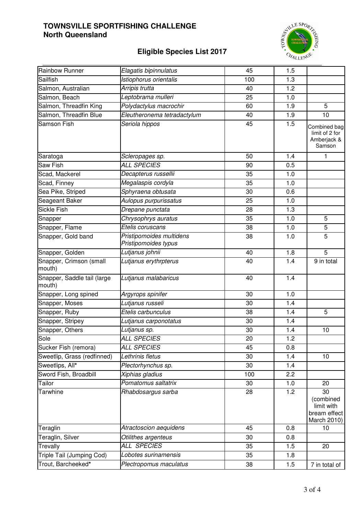

# **Eligible Species List 2017**

| Rainbow Runner                        | Elagatis bipinnulatus                            | 45  | 1.5 |                                                              |
|---------------------------------------|--------------------------------------------------|-----|-----|--------------------------------------------------------------|
| <b>Sailfish</b>                       | Istiophorus orientalis                           | 100 | 1.3 |                                                              |
| Salmon, Australian                    | Arripis trutta                                   | 40  | 1.2 |                                                              |
| Salmon, Beach                         | Leptobrama mulleri                               | 25  | 1.0 |                                                              |
| Salmon, Threadfin King                | Polydactylus macrochir                           | 60  | 1.9 | $\overline{5}$                                               |
| Salmon, Threadfin Blue                | Eleutheronema tetradactylum                      | 40  | 1.9 | 10                                                           |
| <b>Samson Fish</b>                    | Seriola hippos                                   | 45  | 1.5 | Combined bag<br>limit of 2 for<br>Amberjack &<br>Samson      |
| Saratoga                              | Scleropages sp.                                  | 50  | 1.4 | 1                                                            |
| <b>Saw Fish</b>                       | <b>ALL SPECIES</b>                               | 90  | 0.5 |                                                              |
| Scad, Mackerel                        | Decapterus russellii                             | 35  | 1.0 |                                                              |
| Scad, Finney                          | Megalaspis cordyla                               | 35  | 1.0 |                                                              |
| Sea Pike, Striped                     | Sphyraena obtusata                               | 30  | 0.6 |                                                              |
| Seageant Baker                        | Aulopus purpurissatus                            | 25  | 1.0 |                                                              |
| <b>Sickle Fish</b>                    | Drepane punctata                                 | 28  | 1.3 |                                                              |
| Snapper                               | Chrysophrys auratus                              | 35  | 1.0 | 5                                                            |
| Snapper, Flame                        | Etelis coruscans                                 | 38  | 1.0 | 5                                                            |
| Snapper, Gold band                    | Pristipomoides multidens<br>Pristipomoides typus | 38  | 1.0 | 5                                                            |
| Snapper, Golden                       | Lutjanus johnii                                  | 40  | 1.8 | $\overline{5}$                                               |
| Snapper, Crimson (small<br>mouth)     | Lutjanus erythrpterus                            | 40  | 1.4 | 9 in total                                                   |
| Snapper, Saddle tail (large<br>mouth) | Lutjanus malabaricus                             | 40  | 1.4 |                                                              |
| Snapper, Long spined                  | Argyrops spinifer                                | 30  | 1.0 |                                                              |
| Snapper, Moses                        | Lutjanus russeli                                 | 30  | 1.4 |                                                              |
| Snapper, Ruby                         | Etelis carbunculus                               | 38  | 1.4 | 5                                                            |
| Snapper, Stripey                      | Lutjanus carponotatus                            | 30  | 1.4 |                                                              |
| Snapper, Others                       | Lutjanus sp.                                     | 30  | 1.4 | 10                                                           |
| Sole                                  | ALL SPECIES                                      | 20  | 1.2 |                                                              |
| Sucker Fish (remora)                  | <b>ALL SPECIES</b>                               | 45  | 0.8 |                                                              |
| Sweetlip, Grass (redfinned)           | Lethrinis fletus                                 | 30  | 1.4 | 10                                                           |
| Sweetlips, All*                       | Plectorhynchus sp.                               | 30  | 1.4 |                                                              |
| Sword Fish, Broadbill                 | Xiphias gladius                                  | 100 | 2.2 |                                                              |
| Tailor                                | Pomatomus saltatrix                              | 30  | 1.0 | 20                                                           |
| Tarwhine                              | Rhabdosargus sarba                               | 28  | 1.2 | 30<br>(combined<br>limit with<br>bream effect<br>March 2010) |
| Teraglin                              | Atractoscion aequidens                           | 45  | 0.8 | 10                                                           |
| Teraglin, Silver                      | Otilithes argenteus                              | 30  | 0.8 |                                                              |
| Trevally                              | ALL SPECIES                                      | 35  | 1.5 | 20                                                           |
| Triple Tail (Jumping Cod)             | Lobotes surinamensis                             | 35  | 1.8 |                                                              |
| Trout, Barcheeked*                    | Plectropomus maculatus                           | 38  | 1.5 | 7 in total of                                                |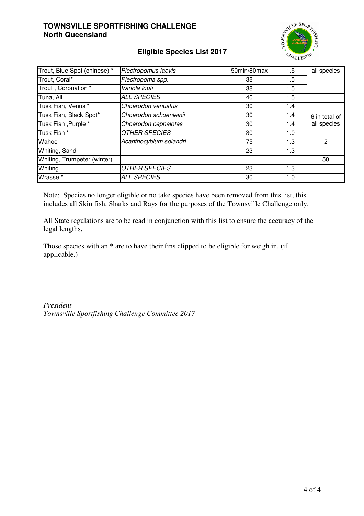

# **Eligible Species List 2017**

| Trout, Blue Spot (chinese) *<br>Plectropomus laevis |                        | 50min/80max | 1.5 | all species   |
|-----------------------------------------------------|------------------------|-------------|-----|---------------|
| Trout, Coral*                                       | Plectropoma spp.       | 38          | 1.5 |               |
| Trout, Coronation *                                 | Variola louti          | 38          | 1.5 |               |
| Tuna, All                                           | <b>ALL SPECIES</b>     | 40          | 1.5 |               |
| Tusk Fish, Venus *                                  | Choerodon venustus     | 30          | 1.4 |               |
| Tusk Fish, Black Spot*                              | Choerodon schoenleinii | 30          | 1.4 | 6 in total of |
| Tusk Fish, Purple *                                 | Choerodon cephalotes   | 30          | 1.4 | all species   |
| Tusk Fish *                                         | <b>OTHER SPECIES</b>   | 30          | 1.0 |               |
| Wahoo                                               | Acanthocybium solandri | 75          | 1.3 | 2             |
| Whiting, Sand                                       |                        | 23          | 1.3 |               |
| Whiting, Trumpeter (winter)                         |                        |             |     | 50            |
| Whiting                                             | <b>OTHER SPECIES</b>   | 23          | 1.3 |               |
| Wrasse *                                            | <b>ALL SPECIES</b>     | 30          | 1.0 |               |

Note: Species no longer eligible or no take species have been removed from this list, this includes all Skin fish, Sharks and Rays for the purposes of the Townsville Challenge only.

All State regulations are to be read in conjunction with this list to ensure the accuracy of the legal lengths.

Those species with an  $*$  are to have their fins clipped to be eligible for weigh in, (if applicable.)

*President Townsville Sportfishing Challenge Committee 2017*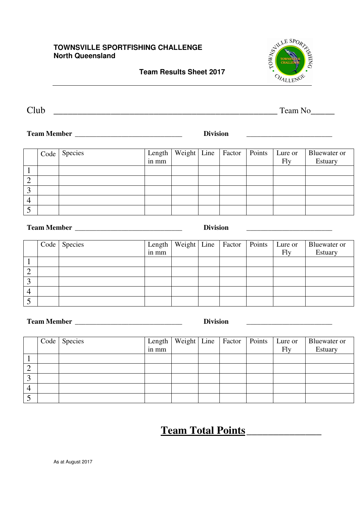**Team Results Sheet 2017** 



Club \_\_\_\_\_\_\_\_\_\_\_\_\_\_\_\_\_\_\_\_\_\_\_\_\_\_\_\_\_\_\_\_\_\_\_\_\_\_\_\_\_\_\_\_\_\_\_ Team No\_\_\_\_\_

**Team Member \_\_\_\_\_\_\_\_\_\_\_\_\_\_\_\_\_\_\_\_\_\_\_\_\_\_\_\_\_\_ Division \_\_\_\_\_\_\_\_\_\_\_\_\_\_\_\_\_\_\_\_\_\_\_\_** 

| Code | Species | Length<br>in mm |  | Weight Line   Factor   Points | Lure or<br>Fly | Bluewater or<br>Estuary |
|------|---------|-----------------|--|-------------------------------|----------------|-------------------------|
|      |         |                 |  |                               |                |                         |
|      |         |                 |  |                               |                |                         |
|      |         |                 |  |                               |                |                         |
|      |         |                 |  |                               |                |                         |
|      |         |                 |  |                               |                |                         |

| <b>Team Member</b> |  |
|--------------------|--|
|                    |  |

|   | Code Species | Length<br>in mm |  | Weight   Line   Factor   Points   Lure or | Fly | Bluewater or<br>Estuary |
|---|--------------|-----------------|--|-------------------------------------------|-----|-------------------------|
|   |              |                 |  |                                           |     |                         |
| ∠ |              |                 |  |                                           |     |                         |
| 3 |              |                 |  |                                           |     |                         |
| 4 |              |                 |  |                                           |     |                         |
|   |              |                 |  |                                           |     |                         |

**Team Member \_\_\_\_\_\_\_\_\_\_\_\_\_\_\_\_\_\_\_\_\_\_\_\_\_\_\_\_\_\_ Division \_\_\_\_\_\_\_\_\_\_\_\_\_\_\_\_\_\_\_\_\_\_\_\_** 

|   | Code Species | Length<br>in mm |  | Weight   Line   Factor   Points   Lure or | Fly | Bluewater or<br>Estuary |
|---|--------------|-----------------|--|-------------------------------------------|-----|-------------------------|
|   |              |                 |  |                                           |     |                         |
| ↵ |              |                 |  |                                           |     |                         |
|   |              |                 |  |                                           |     |                         |
|   |              |                 |  |                                           |     |                         |
|   |              |                 |  |                                           |     |                         |

# **Team Total Points \_\_\_\_\_\_\_\_\_\_\_\_\_\_**

**Team Member 2018 Division Letters 2018 <b>Division Letters 2018 Letters 2018 Letters 2018 Letters 2018 Letters 2018 Letters 2018 Letters 2018 Letters 2018 Letters 2018 Letters 2018 Letters 2018 L**